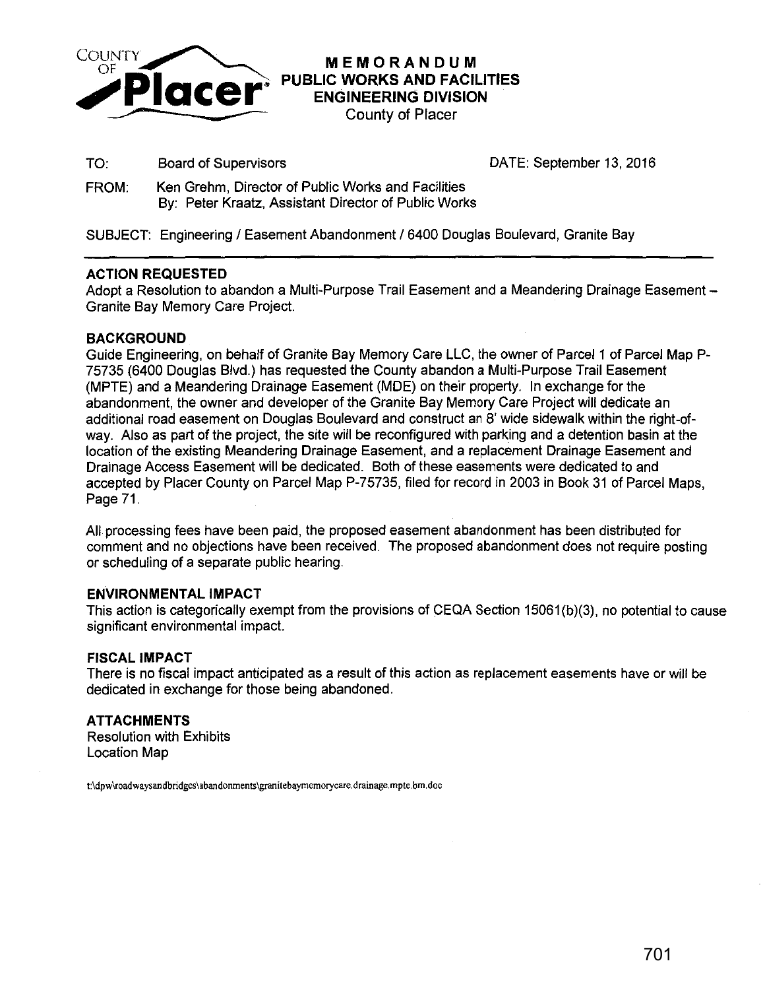

# **MEMORANDUM PUBLIC WORKS AND FACILITIES ENGINEERING DIVISION**  County of Placer

TO: Board of Supervisors DATE: September 13, 2016

FROM: Ken Grehm, Director of Public Works and Facilities By: Peter Kraatz, Assistant Director of Public Works

SUBJECT: Engineering / Easement Abandonment / 6400 Douglas Boulevard, Granite Bay

# **ACTION REQUESTED**

Adopt a Resolution to abandon a Multi-Purpose Trail Easement and a Meandering Drainage Easement -Granite Bay Memory Care Project.

# **BACKGROUND**

Guide Engineering, on behalf of Granite Bay Memory Care LLC, the owner of Parcel 1 of Parcel Map P-75735 (6400 Douglas Blvd.) has requested the County abandon a Multi-Purpose Trail Easement (MPTE) and a Meandering Drainage Easement (MDE) on their property. In exchange for the abandonment, the owner and developer of the Granite Bay Memory Care Project will dedicate an additional road easement on Douglas Boulevard and construct an 8' wide sidewalk within the right-ofway. Also as part of the project, the site will be reconfigured with parking and a detention basin at the location of the existing Meandering Drainage Easement, and a replacement Drainage Easement and Drainage Access Easement will be dedicated. Both of these easements were dedicated to and accepted by Placer County on Parcel Map P-75735, filed for record in 2003 in Book 31 of Parcel Maps, Page 71.

All processing fees have been paid, the proposed easement abandonment has been distributed for comment and no objections have been received. The proposed abandonment does not require posting or scheduling of a separate public hearing.

### **ENVIRONMENTAL IMPACT**

This action is categorically exempt from the provisions of CEQA Section 15061 (b)(3), no potential to cause significant environmental impact.

### **FISCAL IMPACT**

There is no fiscal impact anticipated as a result of this action as replacement easements have or will be dedicated in exchange for those being abandoned.

# **ATTACHMENTS**

Resolution with Exhibits Location Map

**t:\dpw\roadwaysandbridges\abandonments\granitebaymemorycare.drainage.mpte.bm.doc**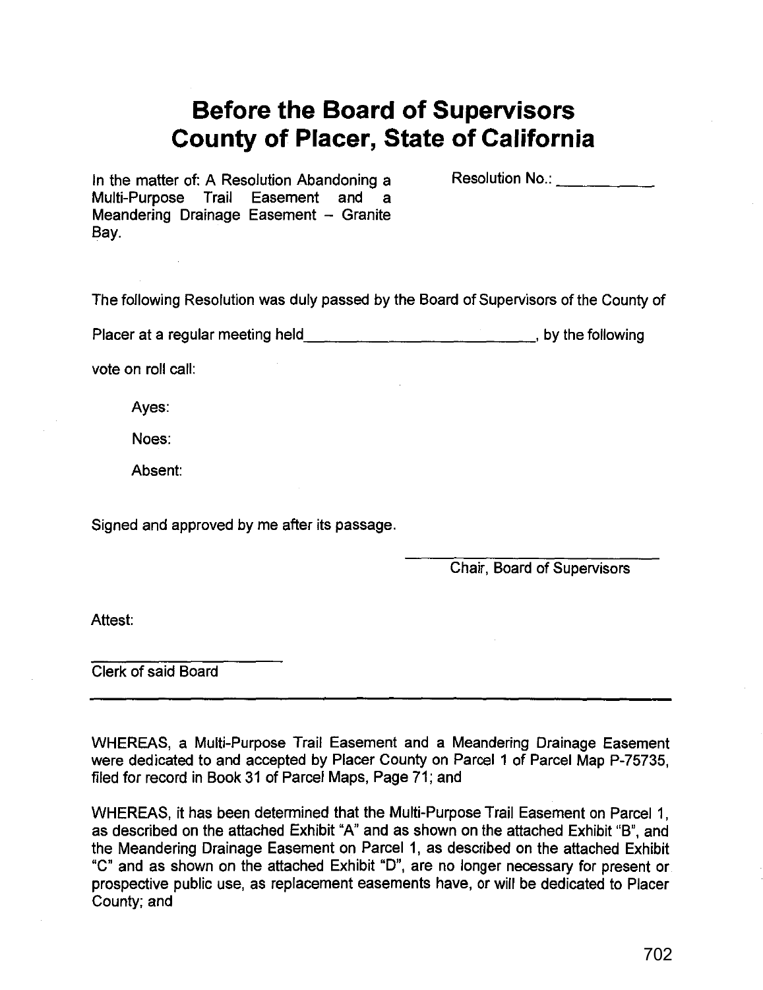# **Before the Board of Supervisors County of Placer, State of California**

In the matter of: A Resolution Abandoning a Multi-Purpose Trail Easement and a Meandering Drainage Easement - Granite Bay.

Resolution No.:  $\blacksquare$ 

The following Resolution was duly passed by the Board of Supervisors of the County of

Placer at a regular meeting held\_\_\_\_\_\_\_\_\_\_\_\_\_\_\_\_\_\_\_\_\_\_\_\_\_\_\_\_\_\_\_\_, by the following

vote on roll call:

Ayes:

Noes:

Absent:

Signed and approved by me after its passage.

Chair, Board of Supervisors

Attest:

Clerk of said Board

WHEREAS, a Multi-Purpose Trail Easement and a Meandering Drainage Easement were dedicated to and accepted by Placer County on Parcel 1 of Parcel Map P-75735, filed for record in Book 31 of Parcel Maps, Page 71; and

WHEREAS, it has been determined that the Multi-Purpose Trail Easement on Parcel 1, as described on the attached Exhibit "A" and as shown on the attached Exhibit "B", and the Meandering Drainage Easement on Parcel 1, as described on the attached Exhibit "C" and as shown on the attached Exhibit "D", are no longer necessary for present or prospective public use, as replacement easements have, or will be dedicated to Placer County; and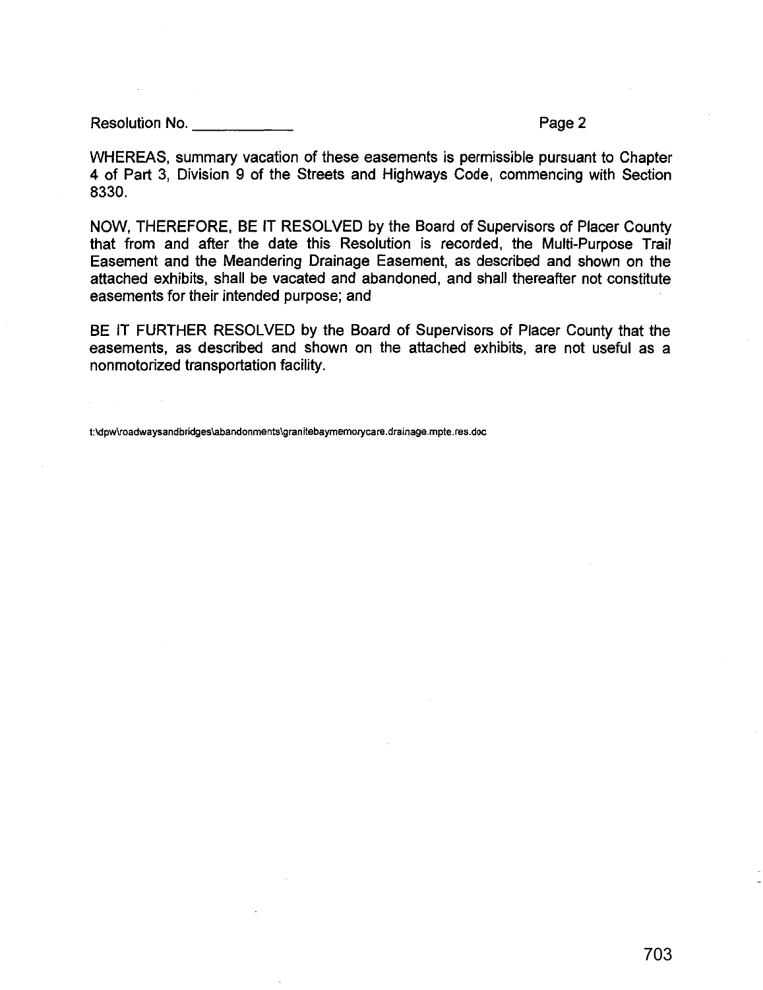Resolution No. \_\_\_\_\_ \_ Page2

WHEREAS, summary vacation of these easements is permissible pursuant to Chapter 4 of Part 3, Division 9 of the Streets and Highways Code, commencing with Section 8330.

NOW, THEREFORE, BE IT RESOLVED by the Board of Supervisors of Placer County that from and after the date this Resolution is recorded, the Multi-Purpose Trail Easement and the Meandering Drainage Easement, as described and shown on the attached exhibits, shall be vacated and abandoned, and shall thereafter not constitute easements for their intended purpose; and

BE IT FURTHER RESOLVED by the Board of Supervisors of Placer County that the easements, as described and shown on the attached exhibits, are not useful as a nonmotorized transportation facility.

**t:\dpw\roadwaysandbridges\abandonments\granitebaymemorycare.drainage.mpte.res.doc**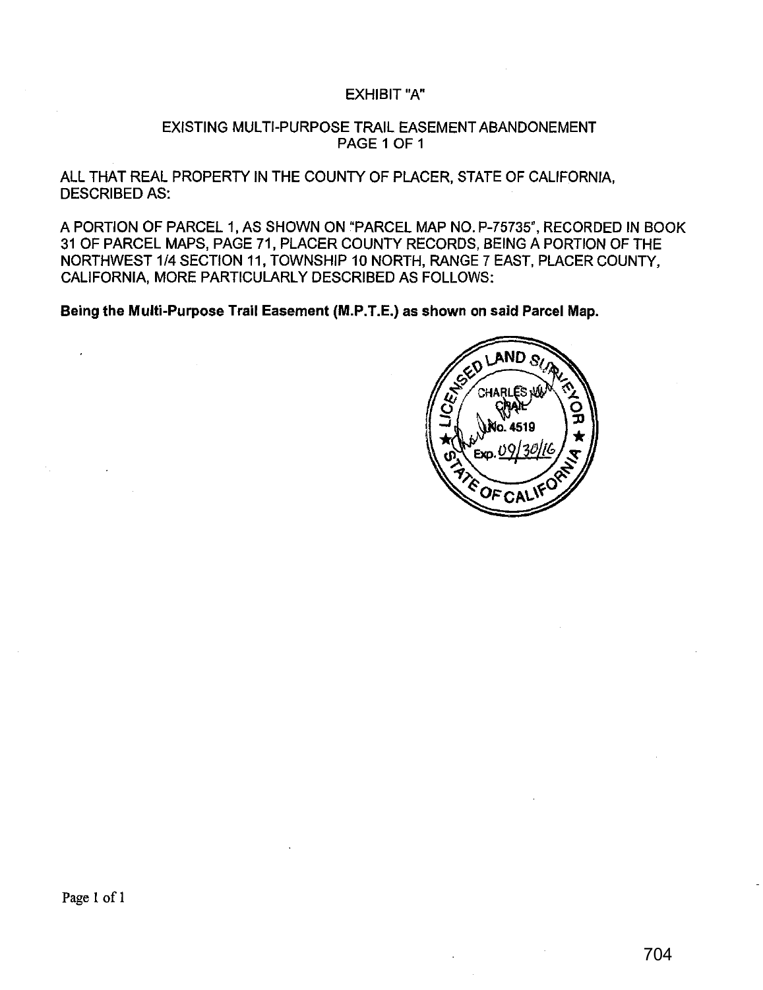### EXHIBIT"A"

### EXISTING MULTI-PURPOSE TRAIL EASEMENT ABANDONEMENT PAGE 1 OF 1

ALL THAT REAL PROPERTY IN THE COUNTY OF PLACER, STATE OF CALIFORNIA, DESCRIBED AS:

A PORTION OF PARCEL 1, AS SHOWN ON "PARCEL MAP NO. P-75735", RECORDED IN BOOK 31 OF PARCEL MAPS, PAGE 71, PLACER COUNTY RECORDS, BEING A PORTION OF THE NORTHWEST 1/4 SECTION 11, TOWNSHIP 10 NORTH, RANGE 7 EAST, PLACER COUNTY, CALIFORNIA, MORE PARTICULARLY DESCRIBED AS FOLLOWS:

Being the Multi-Purpose Trail Easement (M.P.T.E.) as shown on said Parcel Map.

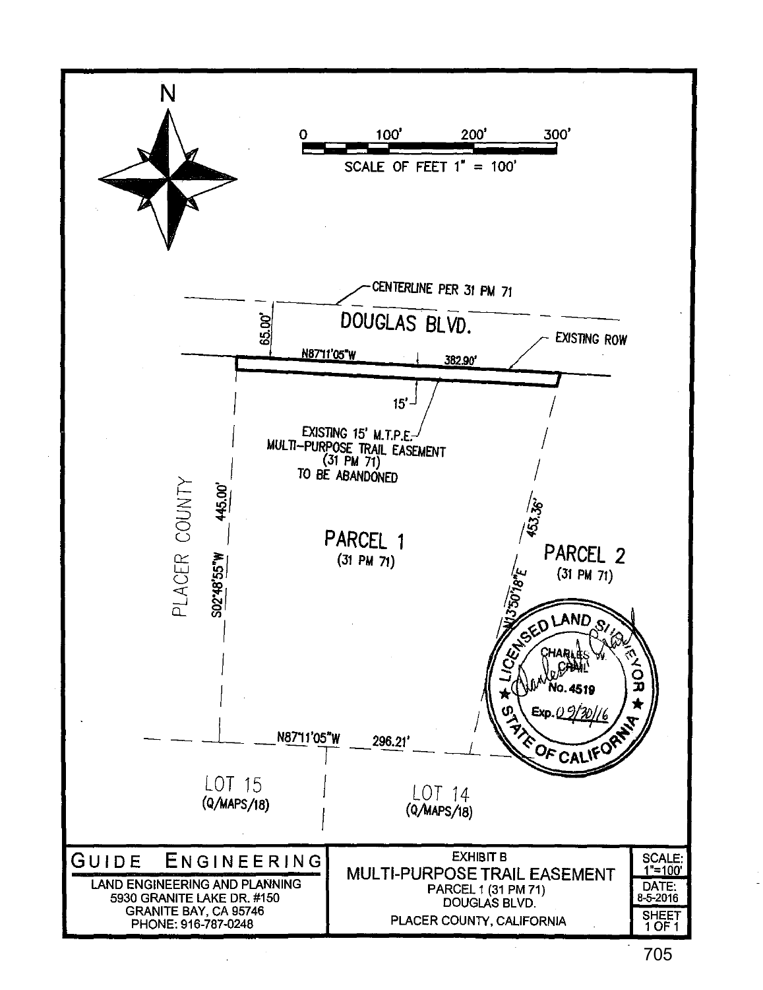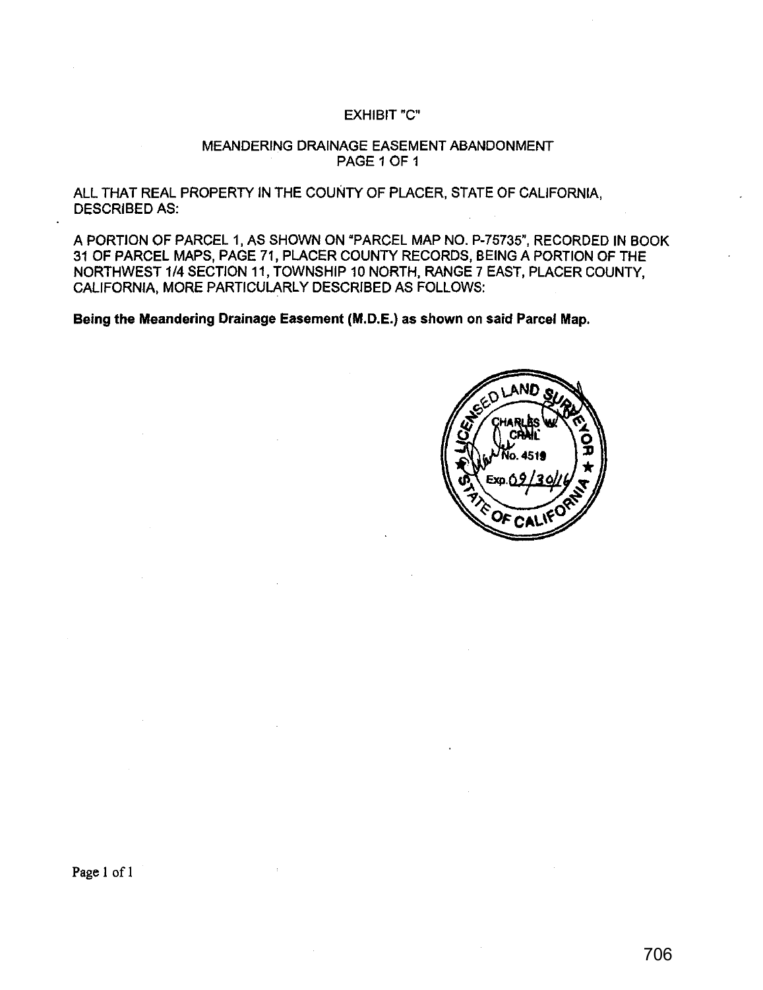### EXHIBIT"C"

### MEANDERING DRAINAGE EASEMENT ABANDONMENT PAGE 1 OF 1

ALL THAT REAL PROPERTY IN THE COUNTY OF PLACER, STATE OF CALIFORNIA, DESCRIBED AS:

A PORTION OF PARCEL 1, AS SHOWN ON "PARCEL MAP NO. P-75735", RECORDED IN BOOK 31 OF PARCEL MAPS, PAGE 71, PLACER COUNTY RECORDS, BEING A PORTION OF THE NORTHWEST 1/4 SECTION 11, TOWNSHIP 10 NORTH, RANGE 7 EAST, PLACER COUNTY, CALIFORNIA, MORE PARTICULARLY DESCRIBED AS FOLLOWS:

Being the Meandering Drainage Easement **(M.D.E.)** as shown on said Parcel Map.



Page I of I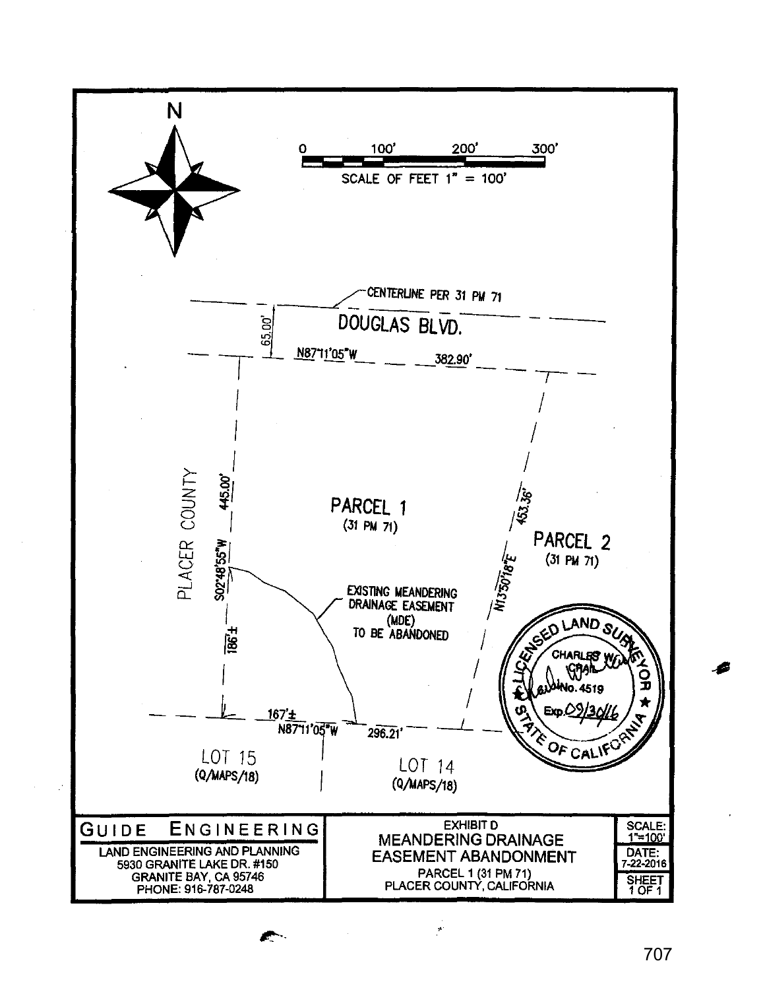